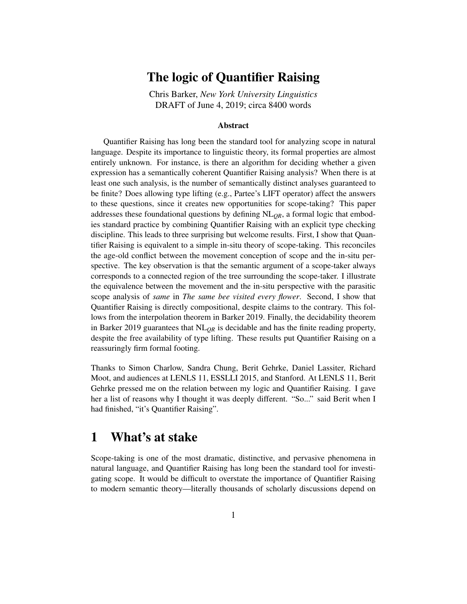## The logic of Quantifier Raising

Chris Barker, *New York University Linguistics* DRAFT of June 4, 2019; circa 8400 words

#### Abstract

Quantifier Raising has long been the standard tool for analyzing scope in natural language. Despite its importance to linguistic theory, its formal properties are almost entirely unknown. For instance, is there an algorithm for deciding whether a given expression has a semantically coherent Quantifier Raising analysis? When there is at least one such analysis, is the number of semantically distinct analyses guaranteed to be finite? Does allowing type lifting (e.g., Partee's LIFT operator) affect the answers to these questions, since it creates new opportunities for scope-taking? This paper addresses these foundational questions by defining NL*QR*, a formal logic that embodies standard practice by combining Quantifier Raising with an explicit type checking discipline. This leads to three surprising but welcome results. First, I show that Quantifier Raising is equivalent to a simple in-situ theory of scope-taking. This reconciles the age-old conflict between the movement conception of scope and the in-situ perspective. The key observation is that the semantic argument of a scope-taker always corresponds to a connected region of the tree surrounding the scope-taker. I illustrate the equivalence between the movement and the in-situ perspective with the parasitic scope analysis of *same* in *The same bee visited every flower*. Second, I show that Quantifier Raising is directly compositional, despite claims to the contrary. This follows from the interpolation theorem in Barker 2019. Finally, the decidability theorem in Barker 2019 guarantees that NL*QR* is decidable and has the finite reading property, despite the free availability of type lifting. These results put Quantifier Raising on a reassuringly firm formal footing.

Thanks to Simon Charlow, Sandra Chung, Berit Gehrke, Daniel Lassiter, Richard Moot, and audiences at LENLS 11, ESSLLI 2015, and Stanford. At LENLS 11, Berit Gehrke pressed me on the relation between my logic and Quantifier Raising. I gave her a list of reasons why I thought it was deeply different. "So..." said Berit when I had finished, "it's Quantifier Raising".

## 1 What's at stake

Scope-taking is one of the most dramatic, distinctive, and pervasive phenomena in natural language, and Quantifier Raising has long been the standard tool for investigating scope. It would be difficult to overstate the importance of Quantifier Raising to modern semantic theory—literally thousands of scholarly discussions depend on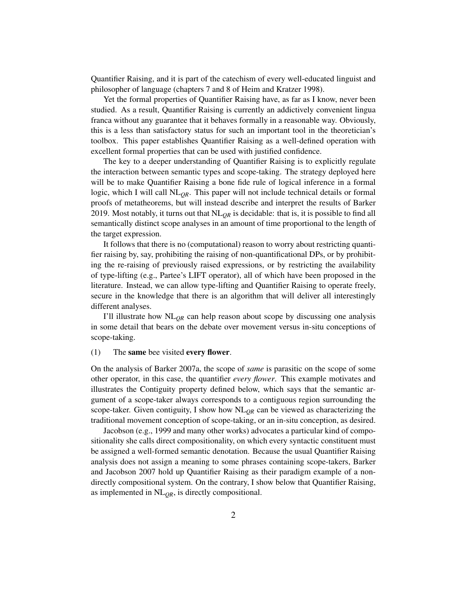Quantifier Raising, and it is part of the catechism of every well-educated linguist and philosopher of language (chapters 7 and 8 of Heim and Kratzer 1998).

Yet the formal properties of Quantifier Raising have, as far as I know, never been studied. As a result, Quantifier Raising is currently an addictively convenient lingua franca without any guarantee that it behaves formally in a reasonable way. Obviously, this is a less than satisfactory status for such an important tool in the theoretician's toolbox. This paper establishes Quantifier Raising as a well-defined operation with excellent formal properties that can be used with justified confidence.

The key to a deeper understanding of Quantifier Raising is to explicitly regulate the interaction between semantic types and scope-taking. The strategy deployed here will be to make Quantifier Raising a bone fide rule of logical inference in a formal logic, which I will call  $NL<sub>OR</sub>$ . This paper will not include technical details or formal proofs of metatheorems, but will instead describe and interpret the results of Barker 2019. Most notably, it turns out that  $NL_{QR}$  is decidable: that is, it is possible to find all semantically distinct scope analyses in an amount of time proportional to the length of the target expression.

It follows that there is no (computational) reason to worry about restricting quantifier raising by, say, prohibiting the raising of non-quantificational DPs, or by prohibiting the re-raising of previously raised expressions, or by restricting the availability of type-lifting (e.g., Partee's LIFT operator), all of which have been proposed in the literature. Instead, we can allow type-lifting and Quantifier Raising to operate freely, secure in the knowledge that there is an algorithm that will deliver all interestingly different analyses.

I'll illustrate how  $NL<sub>OR</sub>$  can help reason about scope by discussing one analysis in some detail that bears on the debate over movement versus in-situ conceptions of scope-taking.

#### (1) The same bee visited every flower.

On the analysis of Barker 2007a, the scope of *same* is parasitic on the scope of some other operator, in this case, the quantifier *every flower*. This example motivates and illustrates the Contiguity property defined below, which says that the semantic argument of a scope-taker always corresponds to a contiguous region surrounding the scope-taker. Given contiguity, I show how  $NL<sub>OR</sub>$  can be viewed as characterizing the traditional movement conception of scope-taking, or an in-situ conception, as desired.

Jacobson (e.g., 1999 and many other works) advocates a particular kind of compositionality she calls direct compositionality, on which every syntactic constituent must be assigned a well-formed semantic denotation. Because the usual Quantifier Raising analysis does not assign a meaning to some phrases containing scope-takers, Barker and Jacobson 2007 hold up Quantifier Raising as their paradigm example of a nondirectly compositional system. On the contrary, I show below that Quantifier Raising, as implemented in  $NL<sub>OR</sub>$ , is directly compositional.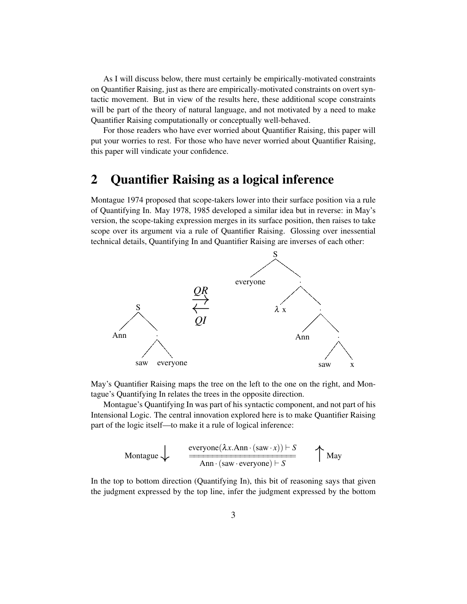As I will discuss below, there must certainly be empirically-motivated constraints on Quantifier Raising, just as there are empirically-motivated constraints on overt syntactic movement. But in view of the results here, these additional scope constraints will be part of the theory of natural language, and not motivated by a need to make Quantifier Raising computationally or conceptually well-behaved.

For those readers who have ever worried about Quantifier Raising, this paper will put your worries to rest. For those who have never worried about Quantifier Raising, this paper will vindicate your confidence.

## <span id="page-2-0"></span>2 Quantifier Raising as a logical inference

Montague 1974 proposed that scope-takers lower into their surface position via a rule of Quantifying In. May 1978, 1985 developed a similar idea but in reverse: in May's version, the scope-taking expression merges in its surface position, then raises to take scope over its argument via a rule of Quantifier Raising. Glossing over inessential technical details, Quantifying In and Quantifier Raising are inverses of each other:



May's Quantifier Raising maps the tree on the left to the one on the right, and Montague's Quantifying In relates the trees in the opposite direction.

Montague's Quantifying In was part of his syntactic component, and not part of his Intensional Logic. The central innovation explored here is to make Quantifier Raising part of the logic itself—to make it a rule of logical inference:

$$
\begin{array}{ccc}\n\text{Montague} & \xleftarrow{\text{everyone}(\lambda x. \text{Ann} \cdot (\text{saw} \cdot x)) \vdash S} \\
\hline\n\text{Ann} \cdot (\text{saw} \cdot \text{everyone}) \vdash S\n\end{array}\n\quad \text{May}
$$

In the top to bottom direction (Quantifying In), this bit of reasoning says that given the judgment expressed by the top line, infer the judgment expressed by the bottom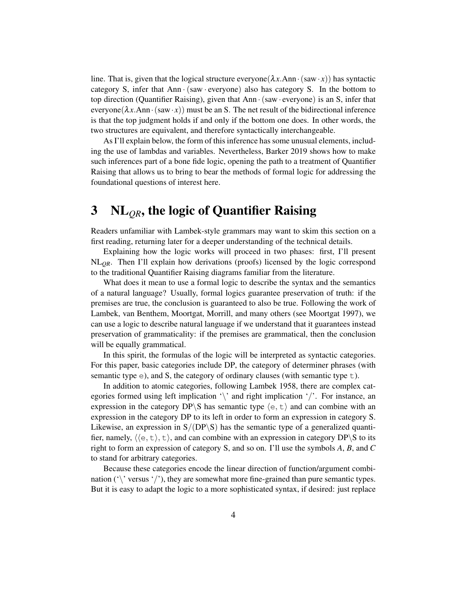line. That is, given that the logical structure everyone( $\lambda x$ .Ann·(saw·x)) has syntactic category S, infer that Ann  $\cdot$  (saw  $\cdot$  everyone) also has category S. In the bottom to top direction (Quantifier Raising), given that Ann ·(saw · everyone) is an S, infer that everyone( $\lambda x$ .Ann·(saw·*x*)) must be an S. The net result of the bidirectional inference is that the top judgment holds if and only if the bottom one does. In other words, the two structures are equivalent, and therefore syntactically interchangeable.

As I'll explain below, the form of this inference has some unusual elements, including the use of lambdas and variables. Nevertheless, Barker 2019 shows how to make such inferences part of a bone fide logic, opening the path to a treatment of Quantifier Raising that allows us to bring to bear the methods of formal logic for addressing the foundational questions of interest here.

# 3 NL*QR*, the logic of Quantifier Raising

Readers unfamiliar with Lambek-style grammars may want to skim this section on a first reading, returning later for a deeper understanding of the technical details.

Explaining how the logic works will proceed in two phases: first, I'll present NL*QR*. Then I'll explain how derivations (proofs) licensed by the logic correspond to the traditional Quantifier Raising diagrams familiar from the literature.

What does it mean to use a formal logic to describe the syntax and the semantics of a natural language? Usually, formal logics guarantee preservation of truth: if the premises are true, the conclusion is guaranteed to also be true. Following the work of Lambek, van Benthem, Moortgat, Morrill, and many others (see Moortgat 1997), we can use a logic to describe natural language if we understand that it guarantees instead preservation of grammaticality: if the premises are grammatical, then the conclusion will be equally grammatical.

In this spirit, the formulas of the logic will be interpreted as syntactic categories. For this paper, basic categories include DP, the category of determiner phrases (with semantic type  $\epsilon$ ), and S, the category of ordinary clauses (with semantic type  $\epsilon$ ).

In addition to atomic categories, following Lambek 1958, there are complex categories formed using left implication '\' and right implication '/'. For instance, an expression in the category DP\S has semantic type  $\langle e, t \rangle$  and can combine with an expression in the category DP to its left in order to form an expression in category S. Likewise, an expression in  $S/(DP\ S)$  has the semantic type of a generalized quantifier, namely,  $\langle \langle e, t \rangle, t \rangle$ , and can combine with an expression in category DP\S to its right to form an expression of category S, and so on. I'll use the symbols *A*, *B*, and *C* to stand for arbitrary categories.

Because these categories encode the linear direction of function/argument combination ( $\langle \cdot \rangle$ ' versus  $\langle \cdot \rangle$ '), they are somewhat more fine-grained than pure semantic types. But it is easy to adapt the logic to a more sophisticated syntax, if desired: just replace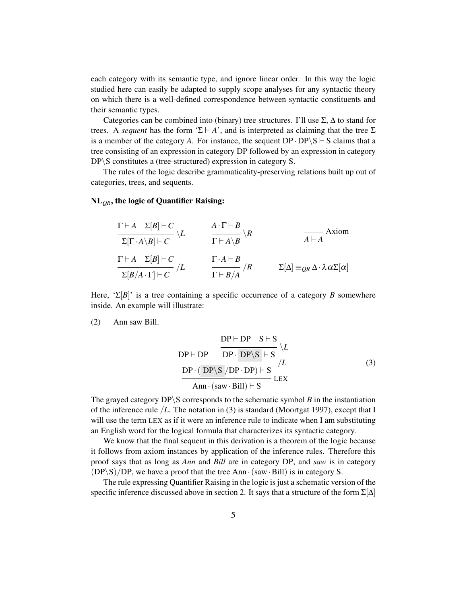each category with its semantic type, and ignore linear order. In this way the logic studied here can easily be adapted to supply scope analyses for any syntactic theory on which there is a well-defined correspondence between syntactic constituents and their semantic types.

Categories can be combined into (binary) tree structures. I'll use  $\Sigma$ ,  $\Delta$  to stand for trees. A *sequent* has the form ' $\Sigma \vdash A$ ', and is interpreted as claiming that the tree  $\Sigma$ is a member of the category A. For instance, the sequent  $DP \cdot DP \setminus S \vdash S$  claims that a tree consisting of an expression in category DP followed by an expression in category  $DP \ S$  constitutes a (tree-structured) expression in category S.

The rules of the logic describe grammaticality-preserving relations built up out of categories, trees, and sequents.

#### NL*QR*, the logic of Quantifier Raising:

$$
\frac{\Gamma \vdash A \quad \Sigma[B] \vdash C}{\Sigma[\Gamma \cdot A \setminus B] \vdash C} \setminus L \qquad \frac{A \cdot \Gamma \vdash B}{\Gamma \vdash A \setminus B} \setminus R \qquad \qquad \frac{}{A \vdash A} \text{Axiom}
$$
\n
$$
\frac{\Gamma \vdash A \quad \Sigma[B] \vdash C}{\Sigma[B/A \cdot \Gamma] \vdash C} / L \qquad \frac{\Gamma \cdot A \vdash B}{\Gamma \vdash B/A} / R \qquad \qquad \Sigma[\Delta] \equiv_{QR} \Delta \cdot \lambda \alpha \Sigma[\alpha]
$$

Here, ' $\Sigma[B]$ ' is a tree containing a specific occurrence of a category *B* somewhere inside. An example will illustrate:

(2) Ann saw Bill.

<span id="page-4-0"></span>
$$
\frac{DP \vdash DP \quad S \vdash S}{DP \cdot DP \cdot DP \setminus S \mid S} \setminus L
$$
\n
$$
\frac{DP \vdash DP \cdot DP \setminus S}{DP \cdot (DP \setminus S / DP \cdot DP) \vdash S} \setminus L
$$
\n
$$
\frac{DP \cdot (DP \setminus S / DP \cdot DP) \vdash S}{Ann \cdot (saw \cdot Bill) \vdash S} \cdot LEX
$$
\n(3)

The grayed category  $DP \ S$  corresponds to the schematic symbol *B* in the instantiation of the inference rule /*L*. The notation in [\(3\)](#page-4-0) is standard (Moortgat 1997), except that I will use the term LEX as if it were an inference rule to indicate when I am substituting an English word for the logical formula that characterizes its syntactic category.

We know that the final sequent in this derivation is a theorem of the logic because it follows from axiom instances by application of the inference rules. Therefore this proof says that as long as *Ann* and *Bill* are in category DP, and *saw* is in category  $(DP\ S)/DP$ , we have a proof that the tree Ann  $\cdot$  (saw  $\cdot$  Bill) is in category S.

The rule expressing Quantifier Raising in the logic is just a schematic version of the specific inference discussed above in section [2.](#page-2-0) It says that a structure of the form  $\Sigma[\Delta]$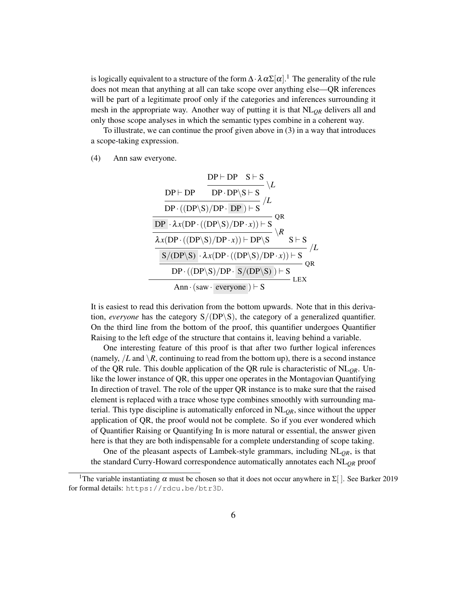is logically equivalent to a structure of the form  $\Delta\cdot\lambda\,\alpha\Sigma[\alpha].^1$  $\Delta\cdot\lambda\,\alpha\Sigma[\alpha].^1$  The generality of the rule does not mean that anything at all can take scope over anything else—QR inferences will be part of a legitimate proof only if the categories and inferences surrounding it mesh in the appropriate way. Another way of putting it is that NL*QR* delivers all and only those scope analyses in which the semantic types combine in a coherent way.

To illustrate, we can continue the proof given above in [\(3\)](#page-4-0) in a way that introduces a scope-taking expression.

#### <span id="page-5-1"></span>(4) Ann saw everyone.

$$
\begin{array}{c|c|c} & & \multicolumn{1}{c}{DP \vdash DP} & S \vdash S & \backslash L \\ \hline & & & \multicolumn{1}{c}{DP \vdash DP \cdot DP \backslash S \vdash S} & \backslash L \\ \hline & & & \multicolumn{1}{c}{DP \cdot ((DP \backslash S)/DP \cdot DP) \vdash S} & \backslash L \\ \hline & & & \multicolumn{1}{c}{DP \cdot (\backslash (DP \backslash S)/DP \cdot x)) \vdash S} & \backslash R \\ \hline & & & \multicolumn{1}{c}{\lambda x (DP \cdot ((DP \backslash S)/DP \cdot x)) \vdash DP \backslash S} & \backslash R & S \vdash S \\ \hline & & & \multicolumn{1}{c}{S/(DP \backslash S) \cdot \lambda x (DP \cdot ((DP \backslash S)/DP \cdot x)) \vdash S} & \backslash L \\ \hline & & & \multicolumn{1}{c}{DP \cdot ((DP \backslash S)/DP \cdot S/(DP \backslash S)) \vdash S} & \backslash R \\ \hline & & & \multicolumn{1}{c}{DP \cdot ((DP \backslash S)/DP \cdot S/(DP \backslash S)) \vdash S} & \backslash R \\ \hline & & & \multicolumn{1}{c}{Ann \cdot (saw \cdot everyone) \vdash S} & \text{LEX} \end{array}
$$

It is easiest to read this derivation from the bottom upwards. Note that in this derivation, *everyone* has the category  $S/(DP\S)$ , the category of a generalized quantifier. On the third line from the bottom of the proof, this quantifier undergoes Quantifier Raising to the left edge of the structure that contains it, leaving behind a variable.

One interesting feature of this proof is that after two further logical inferences (namely,  $/L$  and  $\setminus R$ , continuing to read from the bottom up), there is a second instance of the QR rule. This double application of the QR rule is characteristic of  $NL<sub>OR</sub>$ . Unlike the lower instance of QR, this upper one operates in the Montagovian Quantifying In direction of travel. The role of the upper QR instance is to make sure that the raised element is replaced with a trace whose type combines smoothly with surrounding material. This type discipline is automatically enforced in  $NL<sub>OR</sub>$ , since without the upper application of QR, the proof would not be complete. So if you ever wondered which of Quantifier Raising or Quantifying In is more natural or essential, the answer given here is that they are both indispensable for a complete understanding of scope taking.

One of the pleasant aspects of Lambek-style grammars, including  $NL<sub>QR</sub>$ , is that the standard Curry-Howard correspondence automatically annotates each NL*QR* proof

<span id="page-5-0"></span><sup>&</sup>lt;sup>1</sup>The variable instantiating  $\alpha$  must be chosen so that it does not occur anywhere in  $\Sigma$ []. See Barker 2019 for formal details: <https://rdcu.be/btr3D>.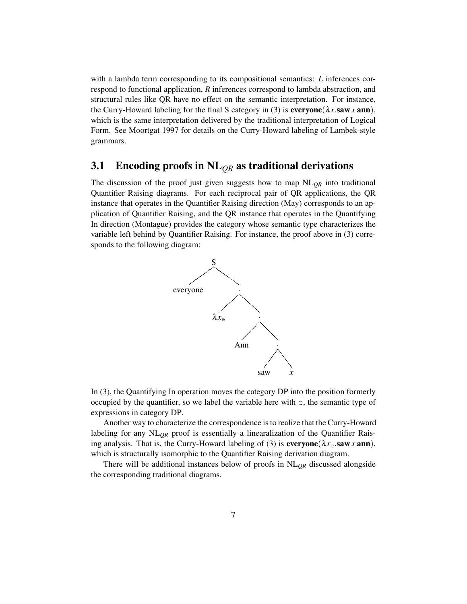with a lambda term corresponding to its compositional semantics: *L* inferences correspond to functional application, *R* inferences correspond to lambda abstraction, and structural rules like QR have no effect on the semantic interpretation. For instance, the Curry-Howard labeling for the final S category in [\(3\)](#page-5-1) is **everyone**( $\lambda x$ **saw**  $x$  ann), which is the same interpretation delivered by the traditional interpretation of Logical Form. See Moortgat 1997 for details on the Curry-Howard labeling of Lambek-style grammars.

### 3.1 Encoding proofs in NL*QR* as traditional derivations

The discussion of the proof just given suggests how to map  $NL<sub>OR</sub>$  into traditional Quantifier Raising diagrams. For each reciprocal pair of QR applications, the QR instance that operates in the Quantifier Raising direction (May) corresponds to an application of Quantifier Raising, and the QR instance that operates in the Quantifying In direction (Montague) provides the category whose semantic type characterizes the variable left behind by Quantifier Raising. For instance, the proof above in [\(3\)](#page-5-1) corresponds to the following diagram:



In [\(3\)](#page-5-1), the Quantifying In operation moves the category DP into the position formerly occupied by the quantifier, so we label the variable here with e, the semantic type of expressions in category DP.

Another way to characterize the correspondence is to realize that the Curry-Howard labeling for any NL<sub>OR</sub> proof is essentially a linearalization of the Quantifier Rais-ing analysis. That is, the Curry-Howard labeling of [\(3\)](#page-5-1) is  $\mathbf{everyone}(\lambda x_e \cdot \mathbf{saw} \cdot \mathbf{xann})$ , which is structurally isomorphic to the Quantifier Raising derivation diagram.

There will be additional instances below of proofs in  $NL<sub>OR</sub>$  discussed alongside the corresponding traditional diagrams.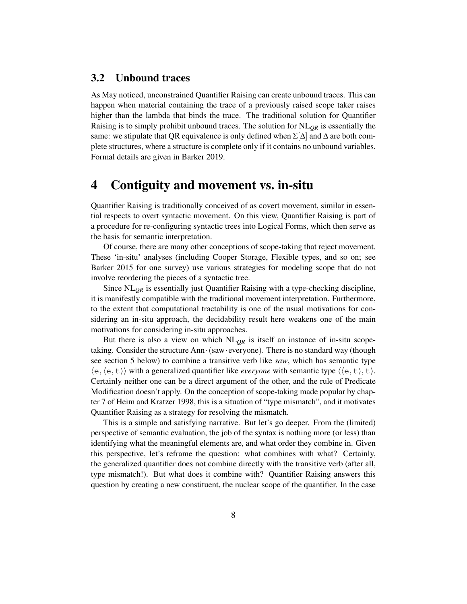### 3.2 Unbound traces

As May noticed, unconstrained Quantifier Raising can create unbound traces. This can happen when material containing the trace of a previously raised scope taker raises higher than the lambda that binds the trace. The traditional solution for Quantifier Raising is to simply prohibit unbound traces. The solution for  $NL<sub>QR</sub>$  is essentially the same: we stipulate that QR equivalence is only defined when  $\Sigma[\Delta]$  and  $\Delta$  are both complete structures, where a structure is complete only if it contains no unbound variables. Formal details are given in Barker 2019.

### 4 Contiguity and movement vs. in-situ

Quantifier Raising is traditionally conceived of as covert movement, similar in essential respects to overt syntactic movement. On this view, Quantifier Raising is part of a procedure for re-configuring syntactic trees into Logical Forms, which then serve as the basis for semantic interpretation.

Of course, there are many other conceptions of scope-taking that reject movement. These 'in-situ' analyses (including Cooper Storage, Flexible types, and so on; see Barker 2015 for one survey) use various strategies for modeling scope that do not involve reordering the pieces of a syntactic tree.

Since NL*QR* is essentially just Quantifier Raising with a type-checking discipline, it is manifestly compatible with the traditional movement interpretation. Furthermore, to the extent that computational tractability is one of the usual motivations for considering an in-situ approach, the decidability result here weakens one of the main motivations for considering in-situ approaches.

But there is also a view on which  $NL<sub>OR</sub>$  is itself an instance of in-situ scopetaking. Consider the structure Ann·(saw·everyone). There is no standard way (though see section [5](#page-11-0) below) to combine a transitive verb like *saw*, which has semantic type  $\langle e, \langle e, t \rangle \rangle$  with a generalized quantifier like *everyone* with semantic type  $\langle \langle e, t \rangle, t \rangle$ . Certainly neither one can be a direct argument of the other, and the rule of Predicate Modification doesn't apply. On the conception of scope-taking made popular by chapter 7 of Heim and Kratzer 1998, this is a situation of "type mismatch", and it motivates Quantifier Raising as a strategy for resolving the mismatch.

This is a simple and satisfying narrative. But let's go deeper. From the (limited) perspective of semantic evaluation, the job of the syntax is nothing more (or less) than identifying what the meaningful elements are, and what order they combine in. Given this perspective, let's reframe the question: what combines with what? Certainly, the generalized quantifier does not combine directly with the transitive verb (after all, type mismatch!). But what does it combine with? Quantifier Raising answers this question by creating a new constituent, the nuclear scope of the quantifier. In the case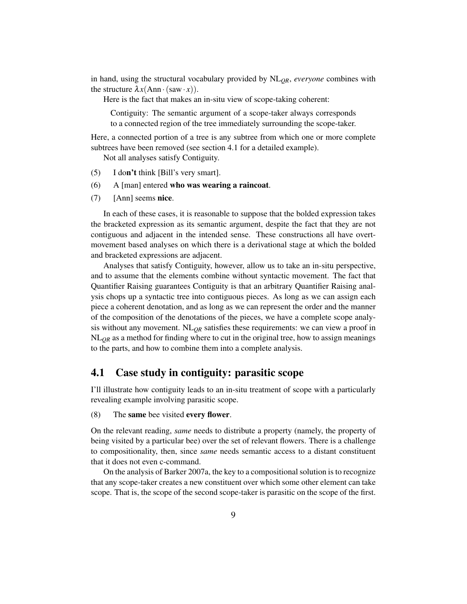in hand, using the structural vocabulary provided by NL*QR*, *everyone* combines with the structure  $\lambda x$ (Ann · (saw · *x*)).

Here is the fact that makes an in-situ view of scope-taking coherent:

Contiguity: The semantic argument of a scope-taker always corresponds to a connected region of the tree immediately surrounding the scope-taker.

Here, a connected portion of a tree is any subtree from which one or more complete subtrees have been removed (see section [4.1](#page-8-0) for a detailed example).

Not all analyses satisfy Contiguity.

- (5) I don't think [Bill's very smart].
- (6) A [man] entered who was wearing a raincoat.
- (7) [Ann] seems nice.

In each of these cases, it is reasonable to suppose that the bolded expression takes the bracketed expression as its semantic argument, despite the fact that they are not contiguous and adjacent in the intended sense. These constructions all have overtmovement based analyses on which there is a derivational stage at which the bolded and bracketed expressions are adjacent.

Analyses that satisfy Contiguity, however, allow us to take an in-situ perspective, and to assume that the elements combine without syntactic movement. The fact that Quantifier Raising guarantees Contiguity is that an arbitrary Quantifier Raising analysis chops up a syntactic tree into contiguous pieces. As long as we can assign each piece a coherent denotation, and as long as we can represent the order and the manner of the composition of the denotations of the pieces, we have a complete scope analysis without any movement. NL<sub>OR</sub> satisfies these requirements: we can view a proof in  $NL<sub>QR</sub>$  as a method for finding where to cut in the original tree, how to assign meanings to the parts, and how to combine them into a complete analysis.

### <span id="page-8-0"></span>4.1 Case study in contiguity: parasitic scope

I'll illustrate how contiguity leads to an in-situ treatment of scope with a particularly revealing example involving parasitic scope.

#### (8) The same bee visited every flower.

On the relevant reading, *same* needs to distribute a property (namely, the property of being visited by a particular bee) over the set of relevant flowers. There is a challenge to compositionality, then, since *same* needs semantic access to a distant constituent that it does not even c-command.

On the analysis of Barker 2007a, the key to a compositional solution is to recognize that any scope-taker creates a new constituent over which some other element can take scope. That is, the scope of the second scope-taker is parasitic on the scope of the first.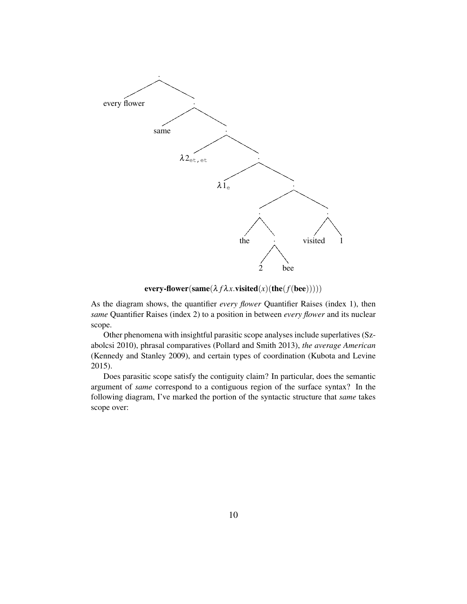

 $every-flower(same(\lambda f\lambda x.visited(x)(the(f(bee))))))$ 

As the diagram shows, the quantifier *every flower* Quantifier Raises (index 1), then *same* Quantifier Raises (index 2) to a position in between *every flower* and its nuclear scope.

Other phenomena with insightful parasitic scope analyses include superlatives (Szabolcsi 2010), phrasal comparatives (Pollard and Smith 2013), *the average American* (Kennedy and Stanley 2009), and certain types of coordination (Kubota and Levine 2015).

Does parasitic scope satisfy the contiguity claim? In particular, does the semantic argument of *same* correspond to a contiguous region of the surface syntax? In the following diagram, I've marked the portion of the syntactic structure that *same* takes scope over: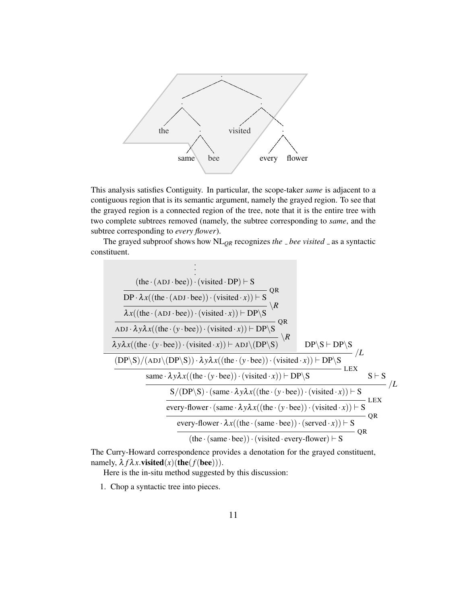

This analysis satisfies Contiguity. In particular, the scope-taker *same* is adjacent to a contiguous region that is its semantic argument, namely the grayed region. To see that the grayed region is a connected region of the tree, note that it is the entire tree with two complete subtrees removed (namely, the subtree corresponding to *same*, and the subtree corresponding to *every flower*).

The grayed subproof shows how  $NL_{QR}$  recognizes *the*  $\Delta$  *bee visited*  $\Delta$  as a syntactic constituent.

$$
\begin{array}{c}\n\text{(the} \cdot (\text{ADJ} \cdot \text{bee})) \cdot (\text{visited} \cdot \text{DP}) \vdash S \\
\hline\n\text{DP} \cdot \lambda x((\text{the} \cdot (\text{ADJ} \cdot \text{bee})) \cdot (\text{visited} \cdot x)) \vdash S \\
\hline\n\lambda x((\text{the} \cdot (\text{ADJ} \cdot \text{bee})) \cdot (\text{visited} \cdot x)) \vdash \text{DP} \setminus S \\
\hline\n\lambda x((\text{the} \cdot (\text{ADJ} \cdot \text{bee})) \cdot (\text{visited} \cdot x)) \vdash \text{DP} \setminus S \\
\hline\n\lambda y \lambda x((\text{the} \cdot (y \cdot \text{bee})) \cdot (\text{visited} \cdot x)) \vdash \text{ADJ} \setminus (\text{DP} \setminus S) \\
\hline\n\frac{\text{(DP} \setminus S)}{\lambda y \lambda x((\text{the} \cdot (y \cdot \text{bee})) \cdot \lambda y \lambda x((\text{the} \cdot (y \cdot \text{bee})) \cdot (\text{visited} \cdot x)) \vdash \text{DP} \setminus S \\
\hline\n\text{same} \cdot \lambda y \lambda x((\text{the} \cdot (y \cdot \text{bee})) \cdot (\text{visited} \cdot x)) \vdash \text{DP} \setminus S \\
\hline\n\text{same} \cdot \lambda y \lambda x((\text{the} \cdot (y \cdot \text{bee})) \cdot (\text{visited} \cdot x)) \vdash S \\
\hline\n\text{every-flower} \cdot (\text{same} \cdot \lambda y \lambda x((\text{the} \cdot (y \cdot \text{bee})) \cdot (\text{visited} \cdot x)) \vdash S \\
\hline\n\text{every-flower} \cdot \lambda x((\text{the} \cdot (\text{same} \cdot \text{bee})) \cdot (\text{desired} \cdot x)) \vdash S \\
\hline\n\text{(the} \cdot (\text{same} \cdot \text{bee})) \cdot (\text{visited} \cdot \text{every-flower}) \vdash S \\
\hline\n\end{array}
$$

The Curry-Howard correspondence provides a denotation for the grayed constituent, namely,  $\lambda f \lambda x$ .visited(*x*)(the(*f*(bee))).

Here is the in-situ method suggested by this discussion:

1. Chop a syntactic tree into pieces.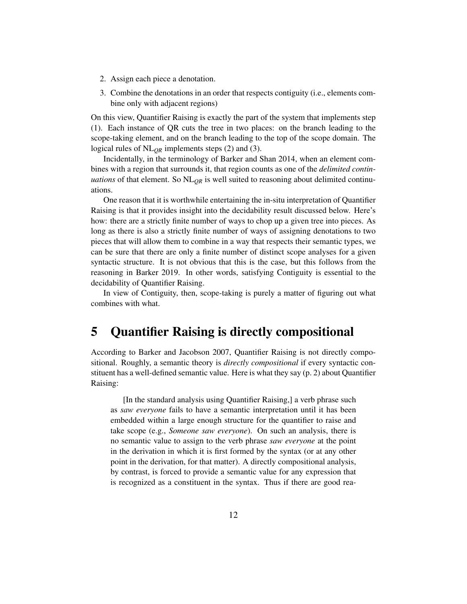- 2. Assign each piece a denotation.
- 3. Combine the denotations in an order that respects contiguity (i.e., elements combine only with adjacent regions)

On this view, Quantifier Raising is exactly the part of the system that implements step (1). Each instance of QR cuts the tree in two places: on the branch leading to the scope-taking element, and on the branch leading to the top of the scope domain. The logical rules of NL*QR* implements steps (2) and (3).

Incidentally, in the terminology of Barker and Shan 2014, when an element combines with a region that surrounds it, that region counts as one of the *delimited continuations* of that element. So NL*QR* is well suited to reasoning about delimited continuations.

One reason that it is worthwhile entertaining the in-situ interpretation of Quantifier Raising is that it provides insight into the decidability result discussed below. Here's how: there are a strictly finite number of ways to chop up a given tree into pieces. As long as there is also a strictly finite number of ways of assigning denotations to two pieces that will allow them to combine in a way that respects their semantic types, we can be sure that there are only a finite number of distinct scope analyses for a given syntactic structure. It is not obvious that this is the case, but this follows from the reasoning in Barker 2019. In other words, satisfying Contiguity is essential to the decidability of Quantifier Raising.

In view of Contiguity, then, scope-taking is purely a matter of figuring out what combines with what.

### <span id="page-11-0"></span>5 Quantifier Raising is directly compositional

According to Barker and Jacobson 2007, Quantifier Raising is not directly compositional. Roughly, a semantic theory is *directly compositional* if every syntactic constituent has a well-defined semantic value. Here is what they say (p. 2) about Quantifier Raising:

[In the standard analysis using Quantifier Raising,] a verb phrase such as *saw everyone* fails to have a semantic interpretation until it has been embedded within a large enough structure for the quantifier to raise and take scope (e.g., *Someone saw everyone*). On such an analysis, there is no semantic value to assign to the verb phrase *saw everyone* at the point in the derivation in which it is first formed by the syntax (or at any other point in the derivation, for that matter). A directly compositional analysis, by contrast, is forced to provide a semantic value for any expression that is recognized as a constituent in the syntax. Thus if there are good rea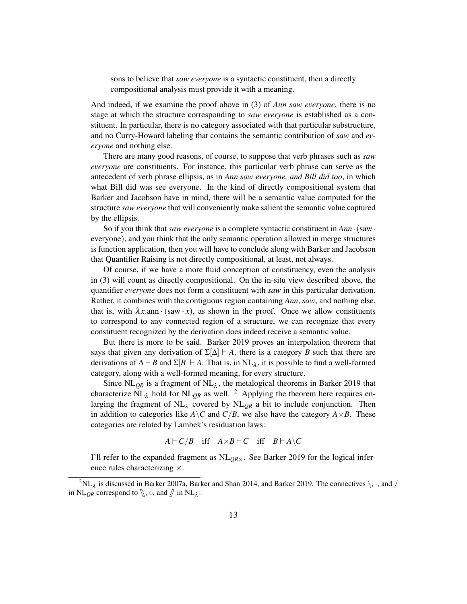sons to believe that *saw everyone* is a syntactic constituent, then a directly compositional analysis must provide it with a meaning.

And indeed, if we examine the proof above in [\(3\)](#page-5-1) of *Ann saw everyone*, there is no stage at which the structure corresponding to *saw everyone* is established as a constituent. In particular, there is no category associated with that particular substructure, and no Curry-Howard labeling that contains the semantic contribution of *saw* and *everyone* and nothing else.

There are many good reasons, of course, to suppose that verb phrases such as *saw everyone* are constituents. For instance, this particular verb phrase can serve as the antecedent of verb phrase ellipsis, as in *Ann saw everyone, and Bill did too*, in which what Bill did was see everyone. In the kind of directly compositional system that Barker and Jacobson have in mind, there will be a semantic value computed for the structure *saw everyone* that will conveniently make salient the semantic value captured by the ellipsis.

So if you think that *saw everyone* is a complete syntactic constituent in *Ann*·(saw· everyone), and you think that the only semantic operation allowed in merge structures is function application, then you will have to conclude along with Barker and Jacobson that Quantifier Raising is not directly compositional, at least, not always.

Of course, if we have a more fluid conception of constituency, even the analysis in [\(3\)](#page-5-1) will count as directly compositional. On the in-situ view described above, the quantifier *everyone* does not form a constituent with *saw* in this particular derivation. Rather, it combines with the contiguous region containing *Ann*, *saw*, and nothing else, that is, with  $\lambda x$  ann · (saw · x), as shown in the proof. Once we allow constituents to correspond to any connected region of a structure, we can recognize that every constituent recognized by the derivation does indeed receive a semantic value.

But there is more to be said. Barker 2019 proves an interpolation theorem that says that given any derivation of  $\Sigma[\Delta] \vdash A$ , there is a category *B* such that there are derivations of  $\Delta \vdash B$  and  $\Sigma[B] \vdash A$ . That is, in NL<sub>λ</sub>, it is possible to find a well-formed category, along with a well-formed meaning, for every structure.

Since  $\text{NL}_{OR}$  is a fragment of  $\text{NL}_{\lambda}$ , the metalogical theorems in Barker 2019 that characterize  $NL_{\lambda}$  hold for  $NL_{OR}$  as well. <sup>[2](#page-12-0)</sup> Applying the theorem here requires enlarging the fragment of  $NL<sub>\lambda</sub>$  covered by  $NL<sub>OR</sub>$  a bit to include conjunction. Then in addition to categories like  $A \ C$  and  $C/B$ , we also have the category  $A \times B$ . These categories are related by Lambek's residuation laws:

$$
A \vdash C/B \quad \text{iff} \quad A \times B \vdash C \quad \text{iff} \quad B \vdash A \setminus C
$$

I'll refer to the expanded fragment as  $NL<sub>OR</sub>$ . See Barker 2019 for the logical inference rules characterizing ×.

<span id="page-12-0"></span> ${}^{2}NL_{\lambda}$  is discussed in Barker 2007a, Barker and Shan 2014, and Barker 2019. The connectives  $\setminus$ ,  $\cdot$ , and / in NL<sub>QR</sub> correspond to  $\mathcal{S}$ ,  $\circ$ , and  $\mathcal{J}$  in NL<sub> $\lambda$ </sub>.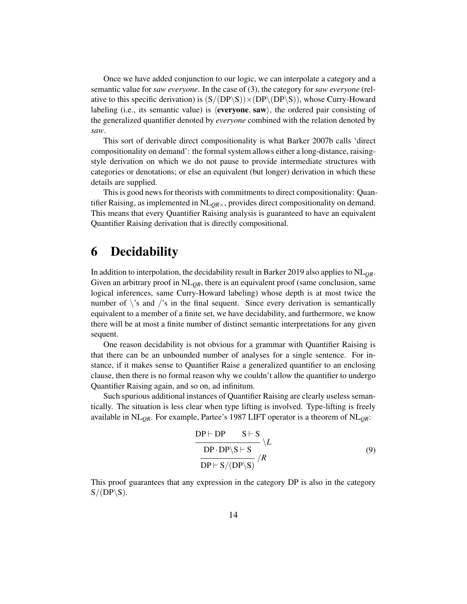Once we have added conjunction to our logic, we can interpolate a category and a semantic value for *saw everyone*. In the case of [\(3\)](#page-5-1), the category for *saw everyone* (relative to this specific derivation) is  $(S/(DP\S)) \times (DP\setminus (DP\S))$ , whose Curry-Howard labeling (i.e., its semantic value) is  $\langle$ **everyone, saw**), the ordered pair consisting of the generalized quantifier denoted by *everyone* combined with the relation denoted by *saw*.

This sort of derivable direct compositionality is what Barker 2007b calls 'direct compositionality on demand': the formal system allows either a long-distance, raisingstyle derivation on which we do not pause to provide intermediate structures with categories or denotations; or else an equivalent (but longer) derivation in which these details are supplied.

This is good news for theorists with commitments to direct compositionality: Quantifier Raising, as implemented in NL*QR*×, provides direct compositionality on demand. This means that every Quantifier Raising analysis is guaranteed to have an equivalent Quantifier Raising derivation that is directly compositional.

## 6 Decidability

In addition to interpolation, the decidability result in Barker 2019 also applies to  $NL<sub>OR</sub>$ . Given an arbitrary proof in  $NL<sub>OR</sub>$ , there is an equivalent proof (same conclusion, same logical inferences, same Curry-Howard labeling) whose depth is at most twice the number of  $\backslash$ 's and  $\backslash$ 's in the final sequent. Since every derivation is semantically equivalent to a member of a finite set, we have decidability, and furthermore, we know there will be at most a finite number of distinct semantic interpretations for any given sequent.

One reason decidability is not obvious for a grammar with Quantifier Raising is that there can be an unbounded number of analyses for a single sentence. For instance, if it makes sense to Quantifier Raise a generalized quantifier to an enclosing clause, then there is no formal reason why we couldn't allow the quantifier to undergo Quantifier Raising again, and so on, ad infinitum.

Such spurious additional instances of Quantifier Raising are clearly useless semantically. The situation is less clear when type lifting is involved. Type-lifting is freely available in NL*QR*. For example, Partee's 1987 LIFT operator is a theorem of NL*QR*:

<span id="page-13-0"></span>
$$
\frac{DP + DP \tS + S}{DP \cdot DP \setminus S + S} \setminus L
$$
  
DP - DP \setminus S + S  
DP + S/(DP \setminus S) / R (9)

This proof guarantees that any expression in the category DP is also in the category  $S/(DP\S)$ .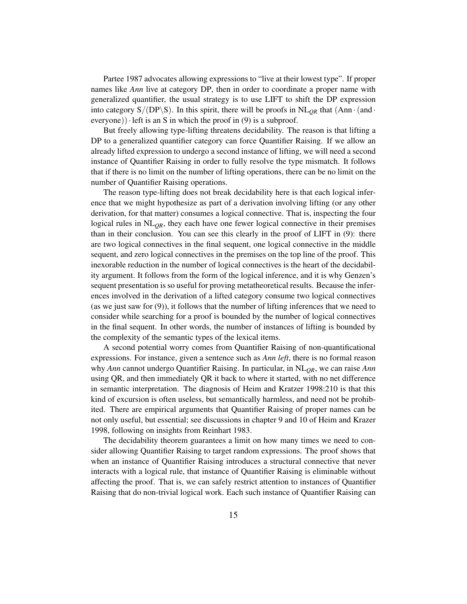Partee 1987 advocates allowing expressions to "live at their lowest type". If proper names like *Ann* live at category DP, then in order to coordinate a proper name with generalized quantifier, the usual strategy is to use LIFT to shift the DP expression into category  $S/(DP\ S)$ . In this spirit, there will be proofs in  $NL<sub>OR</sub>$  that  $(Ann \cdot (and \cdot))$ everyone)) left is an S in which the proof in  $(9)$  is a subproof.

But freely allowing type-lifting threatens decidability. The reason is that lifting a DP to a generalized quantifier category can force Quantifier Raising. If we allow an already lifted expression to undergo a second instance of lifting, we will need a second instance of Quantifier Raising in order to fully resolve the type mismatch. It follows that if there is no limit on the number of lifting operations, there can be no limit on the number of Quantifier Raising operations.

The reason type-lifting does not break decidability here is that each logical inference that we might hypothesize as part of a derivation involving lifting (or any other derivation, for that matter) consumes a logical connective. That is, inspecting the four logical rules in NL<sub>OR</sub>, they each have one fewer logical connective in their premises than in their conclusion. You can see this clearly in the proof of LIFT in [\(9\)](#page-13-0): there are two logical connectives in the final sequent, one logical connective in the middle sequent, and zero logical connectives in the premises on the top line of the proof. This inexorable reduction in the number of logical connectives is the heart of the decidability argument. It follows from the form of the logical inference, and it is why Genzen's sequent presentation is so useful for proving metatheoretical results. Because the inferences involved in the derivation of a lifted category consume two logical connectives (as we just saw for [\(9\)](#page-13-0)), it follows that the number of lifting inferences that we need to consider while searching for a proof is bounded by the number of logical connectives in the final sequent. In other words, the number of instances of lifting is bounded by the complexity of the semantic types of the lexical items.

A second potential worry comes from Quantifier Raising of non-quantificational expressions. For instance, given a sentence such as *Ann left*, there is no formal reason why *Ann* cannot undergo Quantifier Raising. In particular, in NL*QR*, we can raise *Ann* using QR, and then immediately QR it back to where it started, with no net difference in semantic interpretation. The diagnosis of Heim and Kratzer 1998:210 is that this kind of excursion is often useless, but semantically harmless, and need not be prohibited. There are empirical arguments that Quantifier Raising of proper names can be not only useful, but essential; see discussions in chapter 9 and 10 of Heim and Krazer 1998, following on insights from Reinhart 1983.

The decidability theorem guarantees a limit on how many times we need to consider allowing Quantifier Raising to target random expressions. The proof shows that when an instance of Quantifier Raising introduces a structural connective that never interacts with a logical rule, that instance of Quantifier Raising is eliminable without affecting the proof. That is, we can safely restrict attention to instances of Quantifier Raising that do non-trivial logical work. Each such instance of Quantifier Raising can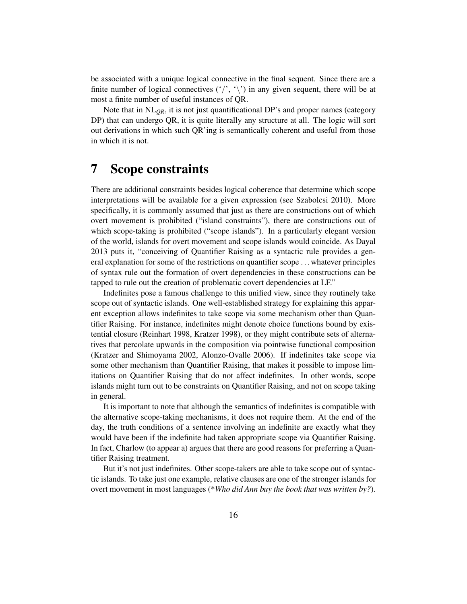be associated with a unique logical connective in the final sequent. Since there are a finite number of logical connectives  $(')$ ,  $\langle \rangle$  in any given sequent, there will be at most a finite number of useful instances of QR.

Note that in  $NL<sub>OR</sub>$ , it is not just quantificational DP's and proper names (category DP) that can undergo QR, it is quite literally any structure at all. The logic will sort out derivations in which such QR'ing is semantically coherent and useful from those in which it is not.

## 7 Scope constraints

There are additional constraints besides logical coherence that determine which scope interpretations will be available for a given expression (see Szabolcsi 2010). More specifically, it is commonly assumed that just as there are constructions out of which overt movement is prohibited ("island constraints"), there are constructions out of which scope-taking is prohibited ("scope islands"). In a particularly elegant version of the world, islands for overt movement and scope islands would coincide. As Dayal 2013 puts it, "conceiving of Quantifier Raising as a syntactic rule provides a general explanation for some of the restrictions on quantifier scope . . . whatever principles of syntax rule out the formation of overt dependencies in these constructions can be tapped to rule out the creation of problematic covert dependencies at LF."

Indefinites pose a famous challenge to this unified view, since they routinely take scope out of syntactic islands. One well-established strategy for explaining this apparent exception allows indefinites to take scope via some mechanism other than Quantifier Raising. For instance, indefinites might denote choice functions bound by existential closure (Reinhart 1998, Kratzer 1998), or they might contribute sets of alternatives that percolate upwards in the composition via pointwise functional composition (Kratzer and Shimoyama 2002, Alonzo-Ovalle 2006). If indefinites take scope via some other mechanism than Quantifier Raising, that makes it possible to impose limitations on Quantifier Raising that do not affect indefinites. In other words, scope islands might turn out to be constraints on Quantifier Raising, and not on scope taking in general.

It is important to note that although the semantics of indefinites is compatible with the alternative scope-taking mechanisms, it does not require them. At the end of the day, the truth conditions of a sentence involving an indefinite are exactly what they would have been if the indefinite had taken appropriate scope via Quantifier Raising. In fact, Charlow (to appear a) argues that there are good reasons for preferring a Quantifier Raising treatment.

But it's not just indefinites. Other scope-takers are able to take scope out of syntactic islands. To take just one example, relative clauses are one of the stronger islands for overt movement in most languages (\**Who did Ann buy the book that was written by?*).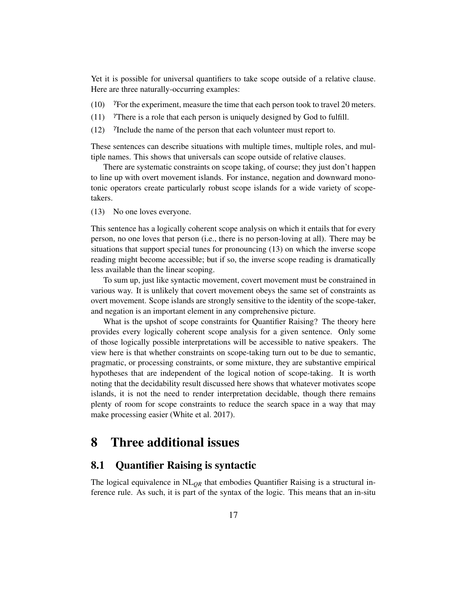Yet it is possible for universal quantifiers to take scope outside of a relative clause. Here are three naturally-occurring examples:

- (10)  $\degree$   $\degree$  Tor the experiment, measure the time that each person took to travel 20 meters.
- (11)  $\gamma$ There is a role that each person is uniquely designed by God to fulfill.
- $(12)$ Include the name of the person that each volunteer must report to.

These sentences can describe situations with multiple times, multiple roles, and multiple names. This shows that universals can scope outside of relative clauses.

There are systematic constraints on scope taking, of course; they just don't happen to line up with overt movement islands. For instance, negation and downward monotonic operators create particularly robust scope islands for a wide variety of scopetakers.

<span id="page-16-0"></span>(13) No one loves everyone.

This sentence has a logically coherent scope analysis on which it entails that for every person, no one loves that person (i.e., there is no person-loving at all). There may be situations that support special tunes for pronouncing [\(13\)](#page-16-0) on which the inverse scope reading might become accessible; but if so, the inverse scope reading is dramatically less available than the linear scoping.

To sum up, just like syntactic movement, covert movement must be constrained in various way. It is unlikely that covert movement obeys the same set of constraints as overt movement. Scope islands are strongly sensitive to the identity of the scope-taker, and negation is an important element in any comprehensive picture.

What is the upshot of scope constraints for Quantifier Raising? The theory here provides every logically coherent scope analysis for a given sentence. Only some of those logically possible interpretations will be accessible to native speakers. The view here is that whether constraints on scope-taking turn out to be due to semantic, pragmatic, or processing constraints, or some mixture, they are substantive empirical hypotheses that are independent of the logical notion of scope-taking. It is worth noting that the decidability result discussed here shows that whatever motivates scope islands, it is not the need to render interpretation decidable, though there remains plenty of room for scope constraints to reduce the search space in a way that may make processing easier (White et al. 2017).

## 8 Three additional issues

### 8.1 Quantifier Raising is syntactic

The logical equivalence in NL*QR* that embodies Quantifier Raising is a structural inference rule. As such, it is part of the syntax of the logic. This means that an in-situ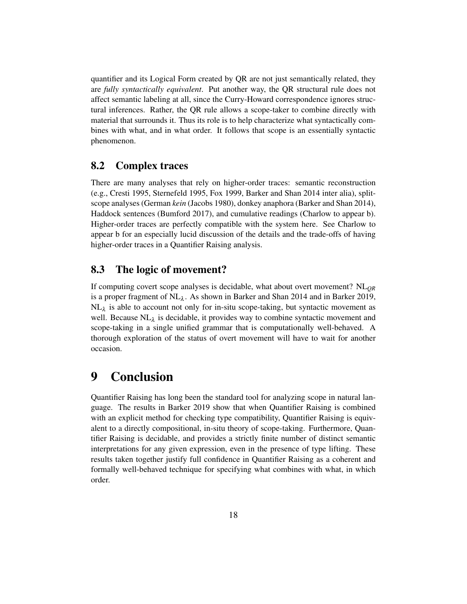quantifier and its Logical Form created by QR are not just semantically related, they are *fully syntactically equivalent*. Put another way, the QR structural rule does not affect semantic labeling at all, since the Curry-Howard correspondence ignores structural inferences. Rather, the QR rule allows a scope-taker to combine directly with material that surrounds it. Thus its role is to help characterize what syntactically combines with what, and in what order. It follows that scope is an essentially syntactic phenomenon.

### 8.2 Complex traces

There are many analyses that rely on higher-order traces: semantic reconstruction (e.g., Cresti 1995, Sternefeld 1995, Fox 1999, Barker and Shan 2014 inter alia), splitscope analyses (German *kein* (Jacobs 1980), donkey anaphora (Barker and Shan 2014), Haddock sentences (Bumford 2017), and cumulative readings (Charlow to appear b). Higher-order traces are perfectly compatible with the system here. See Charlow to appear b for an especially lucid discussion of the details and the trade-offs of having higher-order traces in a Quantifier Raising analysis.

### 8.3 The logic of movement?

If computing covert scope analyses is decidable, what about overt movement? NL*QR* is a proper fragment of  $NL<sub>\lambda</sub>$ . As shown in Barker and Shan 2014 and in Barker 2019,  $NL<sub>\lambda</sub>$  is able to account not only for in-situ scope-taking, but syntactic movement as well. Because  $NL_{\lambda}$  is decidable, it provides way to combine syntactic movement and scope-taking in a single unified grammar that is computationally well-behaved. A thorough exploration of the status of overt movement will have to wait for another occasion.

## 9 Conclusion

Quantifier Raising has long been the standard tool for analyzing scope in natural language. The results in Barker 2019 show that when Quantifier Raising is combined with an explicit method for checking type compatibility, Quantifier Raising is equivalent to a directly compositional, in-situ theory of scope-taking. Furthermore, Quantifier Raising is decidable, and provides a strictly finite number of distinct semantic interpretations for any given expression, even in the presence of type lifting. These results taken together justify full confidence in Quantifier Raising as a coherent and formally well-behaved technique for specifying what combines with what, in which order.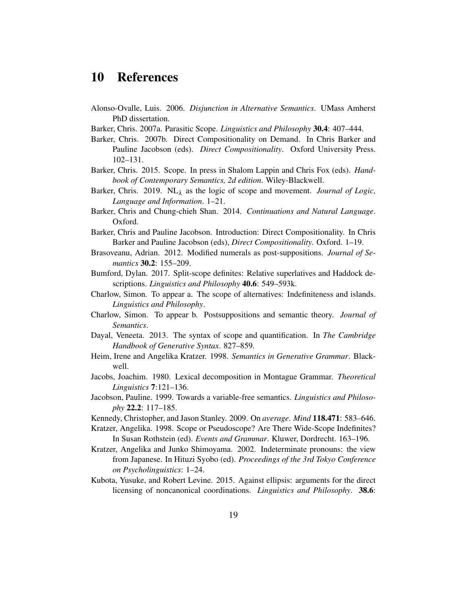## 10 References

- Alonso-Ovalle, Luis. 2006. *Disjunction in Alternative Semantics*. UMass Amherst PhD dissertation.
- Barker, Chris. 2007a. Parasitic Scope. *Linguistics and Philosophy* 30.4: 407–444.
- Barker, Chris. 2007b. Direct Compositionality on Demand. In Chris Barker and Pauline Jacobson (eds). *Direct Compositionality*. Oxford University Press. 102–131.
- Barker, Chris. 2015. Scope. In press in Shalom Lappin and Chris Fox (eds). *Handbook of Contemporary Semantics, 2d edition*. Wiley-Blackwell.
- Barker, Chris. 2019. NL<sub>λ</sub> as the logic of scope and movement. *Journal of Logic*, *Language and Information*. 1–21.
- Barker, Chris and Chung-chieh Shan. 2014. *Continuations and Natural Language*. Oxford.
- Barker, Chris and Pauline Jacobson. Introduction: Direct Compositionality. In Chris Barker and Pauline Jacobson (eds), *Direct Compositionality*. Oxford. 1–19.
- Brasoveanu, Adrian. 2012. Modified numerals as post-suppositions. *Journal of Semantics* 30.2: 155–209.
- Bumford, Dylan. 2017. Split-scope definites: Relative superlatives and Haddock descriptions. *Linguistics and Philosophy* 40.6: 549–593k.
- Charlow, Simon. To appear a. The scope of alternatives: Indefiniteness and islands. *Linguistics and Philosophy*.
- Charlow, Simon. To appear b. Postsuppositions and semantic theory. *Journal of Semantics*.
- Dayal, Veneeta. 2013. The syntax of scope and quantification. In *The Cambridge Handbook of Generative Syntax*. 827–859.
- Heim, Irene and Angelika Kratzer. 1998. *Semantics in Generative Grammar*. Blackwell.
- Jacobs, Joachim. 1980. Lexical decomposition in Montague Grammar. *Theoretical Linguistics* 7:121–136.
- Jacobson, Pauline. 1999. Towards a variable-free semantics. *Linguistics and Philosophy* 22.2: 117–185.
- Kennedy, Christopher, and Jason Stanley. 2009. On *average*. *Mind* 118.471: 583–646.
- Kratzer, Angelika. 1998. Scope or Pseudoscope? Are There Wide-Scope Indefinites? In Susan Rothstein (ed). *Events and Grammar*. Kluwer, Dordrecht. 163–196.
- Kratzer, Angelika and Junko Shimoyama. 2002. Indeterminate pronouns: the view from Japanese. In Hituzi Syobo (ed). *Proceedings of the 3rd Tokyo Conference on Psycholinguistics*: 1–24.
- Kubota, Yusuke, and Robert Levine. 2015. Against ellipsis: arguments for the direct licensing of noncanonical coordinations. *Linguistics and Philosophy*. 38.6: